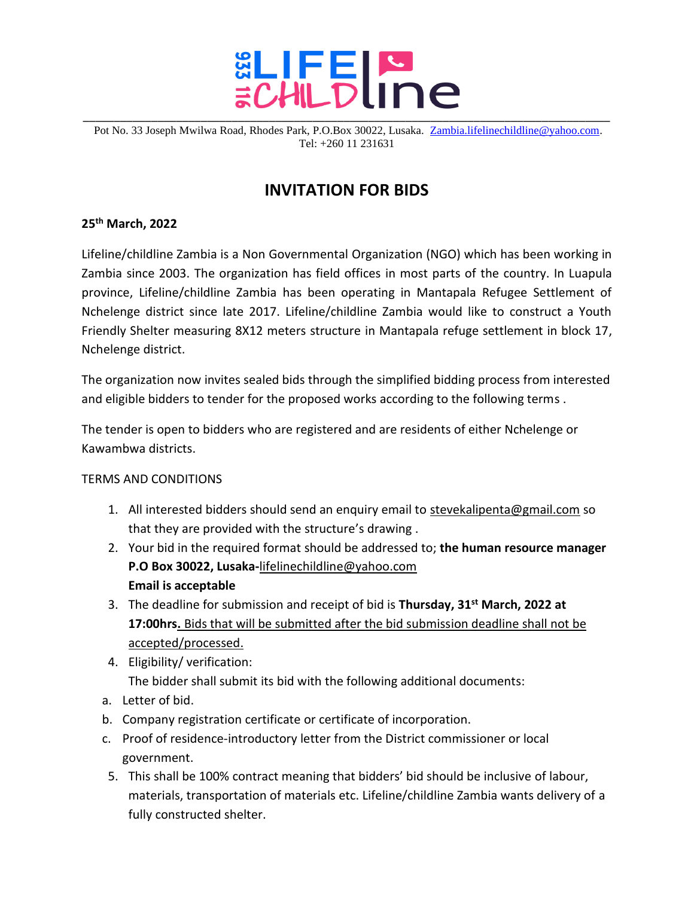

Pot No. 33 Joseph Mwilwa Road, Rhodes Park, P.O.Box 30022, Lusaka. [Zambia.lifelinechildline@yahoo.com.](mailto:Zambia.lifelinechildline@yahoo.com) Tel: +260 11 231631

## **INVITATION FOR BIDS**

## **25th March, 2022**

Lifeline/childline Zambia is a Non Governmental Organization (NGO) which has been working in Zambia since 2003. The organization has field offices in most parts of the country. In Luapula province, Lifeline/childline Zambia has been operating in Mantapala Refugee Settlement of Nchelenge district since late 2017. Lifeline/childline Zambia would like to construct a Youth Friendly Shelter measuring 8X12 meters structure in Mantapala refuge settlement in block 17, Nchelenge district.

The organization now invites sealed bids through the simplified bidding process from interested and eligible bidders to tender for the proposed works according to the following terms .

The tender is open to bidders who are registered and are residents of either Nchelenge or Kawambwa districts.

## TERMS AND CONDITIONS

- 1. All interested bidders should send an enquiry email to stevekalipenta@gmail.com so that they are provided with the structure's drawing .
- 2. Your bid in the required format should be addressed to; **the human resource manager P.O Box 30022, Lusaka-**lifelinechildline@yahoo.com **Email is acceptable**
- 3. The deadline for submission and receipt of bid is **Thursday, 31 st March, 2022 at 17:00hrs.** Bids that will be submitted after the bid submission deadline shall not be accepted/processed.
- 4. Eligibility/ verification: The bidder shall submit its bid with the following additional documents:
- a. Letter of bid.
- b. Company registration certificate or certificate of incorporation.
- c. Proof of residence-introductory letter from the District commissioner or local government.
- 5. This shall be 100% contract meaning that bidders' bid should be inclusive of labour, materials, transportation of materials etc. Lifeline/childline Zambia wants delivery of a fully constructed shelter.